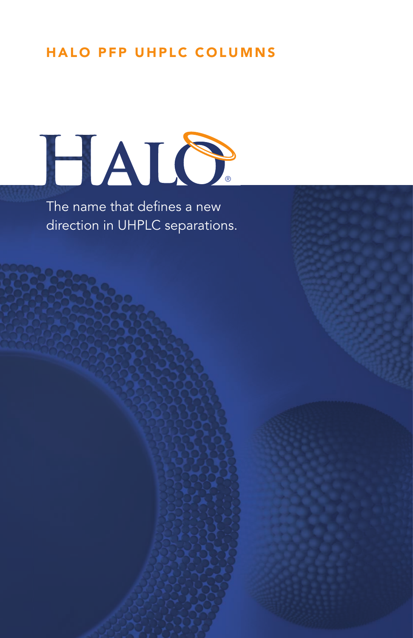## HALO PFP UHPLC COLUMNS



The name that defines a new direction in UHPLC separations.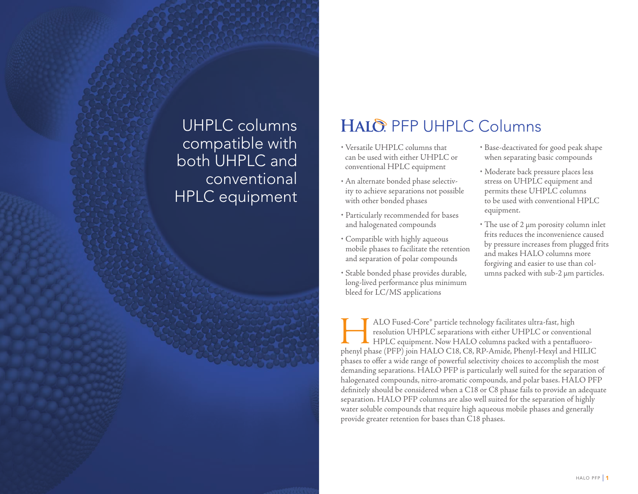# compatible with both UHPLC and conventional HPLC equipment

## UHPLC columns | HALO PFP UHPLC Columns

- Versatile UHPLC columns that can be used with either UHPLC or conventional HPLC equipment
- An alternate bonded phase selectivity to achieve separations not possible with other bonded phases
- Particularly recommended for bases and halogenated compounds
- Compatible with highly aqueous mobile phases to facilitate the retention and separation of polar compounds
- Stable bonded phase provides durable, long-lived performance plus minimum bleed for LC/MS applications
- Base-deactivated for good peak shape when separating basic compounds
- Moderate back pressure places less stress on UHPLC equipment and permits these UHPLC columns to be used with conventional HPLC equipment.
- The use of 2 μm porosity column inlet frits reduces the inconvenience caused by pressure increases from plugged frits and makes HALO columns more forgiving and easier to use than columns packed with sub-2 μm particles.

MLO Fused-Core® particle technology facilitates ultra-fast, high<br>resolution UHPLC separations with either UHPLC or conventional<br>phenyl phase (PFP) join HALO C18, C8, RP-Amide, Phenyl-Hexyl and HILIC ALO Fused-Core® particle technology facilitates ultra-fast, high resolution UHPLC separations with either UHPLC or conventional HPLC equipment. Now HALO columns packed with a pentafluorophases to offer a wide range of powerful selectivity choices to accomplish the most demanding separations. HALO PFP is particularly well suited for the separation of halogenated compounds, nitro-aromatic compounds, and polar bases. HALO PFP definitely should be considered when a C18 or C8 phase fails to provide an adequate separation. HALO PFP columns are also well suited for the separation of highly water soluble compounds that require high aqueous mobile phases and generally provide greater retention for bases than C18 phases.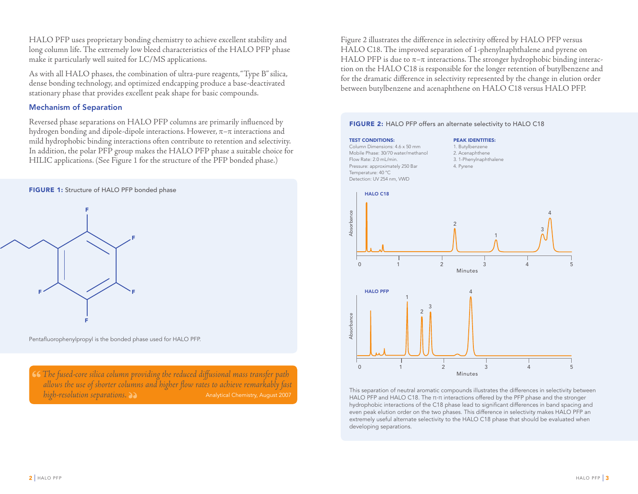HALO PFP uses proprietary bonding chemistry to achieve excellent stability and long column life. The extremely low bleed characteristics of the HALO PFP phase make it particularly well suited for LC/MS applications.

As with all HALO phases, the combination of ultra-pure reagents, "Type B" silica, dense bonding technology, and optimized endcapping produce a base-deactivated stationary phase that provides excellent peak shape for basic compounds.

### Mechanism of Separation

Reversed phase separations on HALO PFP columns are primarily influenced by hydrogen bonding and dipole-dipole interactions. However,  $\pi-\pi$  interactions and mild hydrophobic binding interactions often contribute to retention and selectivity. In addition, the polar PFP group makes the HALO PFP phase a suitable choice for HILIC applications. (See Figure 1 for the structure of the PFP bonded phase.)



Pentafluorophenylpropyl is the bonded phase used for HALO PFP.

*The fused-core silica column providing the reduced diffusional mass transfer path*  allows the use of shorter columns and higher flow rates to achieve remarkably fast *high-resolution separations.* and *high-resolution separations.* Analytical Chemistry, August 2007

Figure 2 illustrates the difference in selectivity offered by HALO PFP versus HALO C18. The improved separation of 1-phenylnaphthalene and pyrene on HALO PFP is due to  $\pi-\pi$  interactions. The stronger hydrophobic binding interaction on the HALO C18 is responsible for the longer retention of butylbenzene and for the dramatic difference in selectivity represented by the change in elution order between butylbenzene and acenaphthene on HALO C18 versus HALO PFP.

#### FIGURE 2: HALO PFP offers an alternate selectivity to HALO C18

#### **TEST CONDITIONS:** Column Dimensions: 4.6 x 50 mm Mobile Phase: 30/70 water/methanol Flow Rate: 2.0 mL/min. Pressure: approximately 250 Bar Temperature: 40 °C Detection: UV 254 nm, VWD

PEAK IDENTITIES: 1. Butylbenzene 2. Acenaphthene 3. 1-Phenylnaphthalene 4. Pyrene



This separation of neutral aromatic compounds illustrates the differences in selectivity between HALO PFP and HALO C18. The π-π interactions offered by the PFP phase and the stronger hydrophobic interactions of the C18 phase lead to significant differences in band spacing and even peak elution order on the two phases. This difference in selectivity makes HALO PFP an extremely useful alternate selectivity to the HALO C18 phase that should be evaluated when developing separations.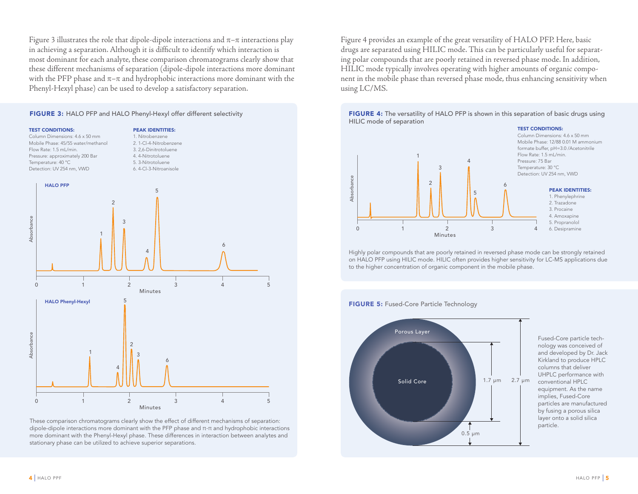Figure 3 illustrates the role that dipole-dipole interactions and  $\pi-\pi$  interactions play in achieving a separation. Although it is difficult to identify which interaction is most dominant for each analyte, these comparison chromatograms clearly show that these different mechanisms of separation (dipole-dipole interactions more dominant with the PFP phase and  $\pi-\pi$  and hydrophobic interactions more dominant with the Phenyl-Hexyl phase) can be used to develop a satisfactory separation.

#### FIGURE 3: HALO PFP and HALO Phenyl-Hexyl offer different selectivity



These comparison chromatograms clearly show the effect of different mechanisms of separation: dipole-dipole interactions more dominant with the PFP phase and π-π and hydrophobic interactions more dominant with the Phenyl-Hexyl phase. These differences in interaction between analytes and stationary phase can be utilized to achieve superior separations.

Figure 4 provides an example of the great versatility of HALO PFP. Here, basic drugs are separated using HILIC mode. This can be particularly useful for separating polar compounds that are poorly retained in reversed phase mode. In addition, HILIC mode typically involves operating with higher amounts of organic component in the mobile phase than reversed phase mode, thus enhancing sensitivity when using LC/MS.

FIGURE 4: The versatility of HALO PFP is shown in this separation of basic drugs using HILIC mode of separation



Highly polar compounds that are poorly retained in reversed phase mode can be strongly retained on HALO PFP using HILIC mode. HILIC often provides higher sensitivity for LC-MS applications due to the higher concentration of organic component in the mobile phase.

#### **FIGURE 5: Fused-Core Particle Technology**



1.7 µm 2.7 µm conventional HPLC Fused-Core particle technology was conceived of and developed by Dr. Jack Kirkland to produce HPLC columns that deliver UHPLC performance with equipment. As the name implies, Fused-Core particles are manufactured by fusing a porous silica layer onto a solid silica particle.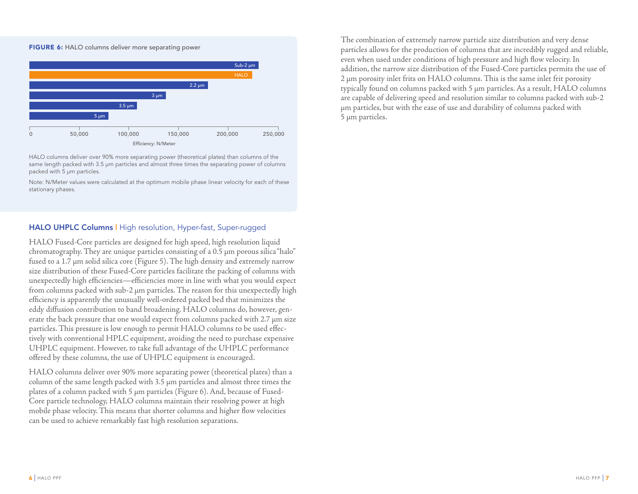



HALO columns deliver over 90% more separating power (theoretical plates) than columns of the same length packed with 3.5 μm particles and almost three times the separating power of columns packed with 5 μm particles.

Note: N/Meter values were calculated at the optimum mobile phase linear velocity for each of these stationary phases.

### HALO UHPLC Columns | High resolution, Hyper-fast, Super-rugged

HALO Fused-Core particles are designed for high speed, high resolution liquid chromatography. They are unique particles consisting of a 0.5 μm porous silica "halo" fused to a 1.7 μm solid silica core (Figure 5). The high density and extremely narrow size distribution of these Fused-Core particles facilitate the packing of columns with unexpectedly high efficiencies—efficiencies more in line with what you would expect from columns packed with sub-2 μm particles. The reason for this unexpectedly high efficiency is apparently the unusually well-ordered packed bed that minimizes the eddy diffusion contribution to band broadening. HALO columns do, however, generate the back pressure that one would expect from columns packed with 2.7 μm size particles. This pressure is low enough to permit HALO columns to be used effectively with conventional HPLC equipment, avoiding the need to purchase expensive UHPLC equipment. However, to take full advantage of the UHPLC performance offered by these columns, the use of UHPLC equipment is encouraged.

HALO columns deliver over 90% more separating power (theoretical plates) than a column of the same length packed with 3.5 μm particles and almost three times the plates of a column packed with 5 μm particles (Figure 6). And, because of Fused-Core particle technology, HALO columns maintain their resolving power at high mobile phase velocity. This means that shorter columns and higher flow velocities can be used to achieve remarkably fast high resolution separations.

The combination of extremely narrow particle size distribution and very dense particles allows for the production of columns that are incredibly rugged and reliable, even when used under conditions of high pressure and high flow velocity. In addition, the narrow size distribution of the Fused-Core particles permits the use of 2 μm porosity inlet frits on HALO columns. This is the same inlet frit porosity typically found on columns packed with 5 μm particles. As a result, HALO columns are capable of delivering speed and resolution similar to columns packed with sub-2 μm particles, but with the ease of use and durability of columns packed with 5 μm particles.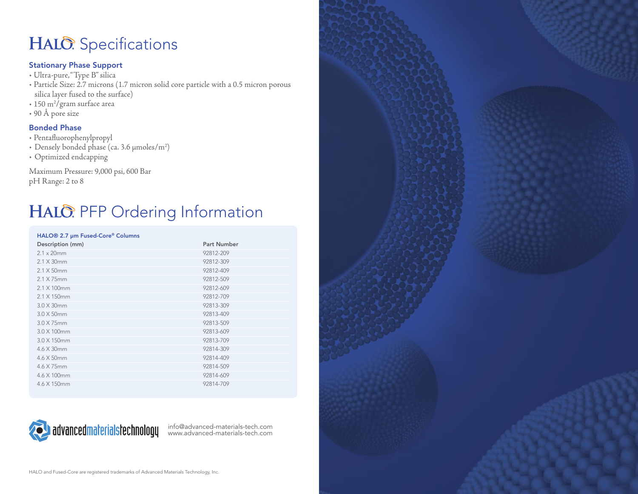## HALO: Specifications

### Stationary Phase Support

- Ultra-pure, "Type B" silica
- Particle Size: 2.7 microns (1.7 micron solid core particle with a 0.5 micron porous silica layer fused to the surface)
- + 150 m<sup>2</sup>/gram surface area
- 90 Å pore size

### Bonded Phase

- Pentafl uorophenylpropyl
- Densely bonded phase (ca. 3.6 μmoles/m2 )
- Optimized endcapping

Maximum Pressure: 9,000 psi, 600 Bar pH Range: 2 to 8

## HALO: PFP Ordering Information

#### HALO® 2.7 µm Fused-Core® Columns

| $10 \le 0 \le 10$ and $10 \le 0 \le 0$ |                    |
|----------------------------------------|--------------------|
| Description (mm)                       | <b>Part Number</b> |
| $2.1 \times 20$ mm                     | 92812-209          |
| $2.1 \times 30$ mm                     | 92812-309          |
| $2.1 \times 50$ mm                     | 92812-409          |
| 2.1 X 75mm                             | 92812-509          |
| 2.1 X 100mm                            | 92812-609          |
| 2.1 X 150mm                            | 92812-709          |
| 3.0 X 30mm                             | 92813-309          |
| $3.0 \times 50$ mm                     | 92813-409          |
| $3.0 \times 75$ mm                     | 92813-509          |
| 3.0 X 100mm                            | 92813-609          |
| 3.0 X 150mm                            | 92813-709          |
| $4.6 \times 30$ mm                     | 92814-309          |
| 4.6 X 50mm                             | 92814-409          |
| 4.6 X 75mm                             | 92814-509          |
| 4.6 X 100mm                            | 92814-609          |
| 4.6 X 150mm                            | 92814-709          |



info@advanced-materials-tech.com www.advanced-materials-tech.com